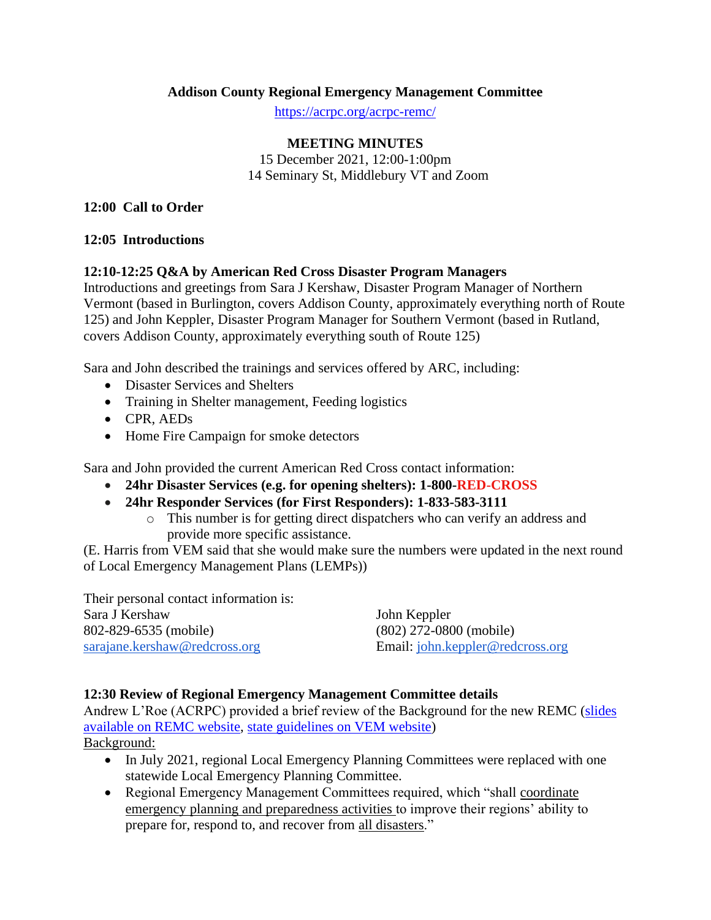### **Addison County Regional Emergency Management Committee**

<https://acrpc.org/acrpc-remc/>

### **MEETING MINUTES**

15 December 2021, 12:00-1:00pm 14 Seminary St, Middlebury VT and Zoom

#### **12:00 Call to Order**

### **12:05 Introductions**

### **12:10-12:25 Q&A by American Red Cross Disaster Program Managers**

Introductions and greetings from Sara J Kershaw, Disaster Program Manager of Northern Vermont (based in Burlington, covers Addison County, approximately everything north of Route 125) and John Keppler, Disaster Program Manager for Southern Vermont (based in Rutland, covers Addison County, approximately everything south of Route 125)

Sara and John described the trainings and services offered by ARC, including:

- Disaster Services and Shelters
- Training in Shelter management, Feeding logistics
- CPR, AEDs
- Home Fire Campaign for smoke detectors

Sara and John provided the current American Red Cross contact information:

- **24hr Disaster Services (e.g. for opening shelters): 1-800-RED-CROSS**
- **24hr Responder Services (for First Responders): 1-833-583-3111**
	- o This number is for getting direct dispatchers who can verify an address and provide more specific assistance.

(E. Harris from VEM said that she would make sure the numbers were updated in the next round of Local Emergency Management Plans (LEMPs))

Their personal contact information is: Sara J Kershaw 802-829-6535 (mobile) [sarajane.kershaw@redcross.org](mailto:sarajane.kershaw@redcross.org)

John Keppler (802) 272-0800 (mobile) Email: [john.keppler@redcross.org](mailto:john.keppler@redcross.org)

### **12:30 Review of Regional Emergency Management Committee details**

Andrew L'Roe (ACRPC) provided a brief review of the Background for the new REMC [\(slides](https://acrpc.org/acrpc-remc/)  [available on REMC website,](https://acrpc.org/acrpc-remc/) [state guidelines on VEM website\)](https://vem.vermont.gov/programs/regional-emergency-management-committees)

Background:

- In July 2021, regional Local Emergency Planning Committees were replaced with one statewide Local Emergency Planning Committee.
- Regional Emergency Management Committees required, which "shall coordinate" emergency planning and preparedness activities to improve their regions' ability to prepare for, respond to, and recover from all disasters."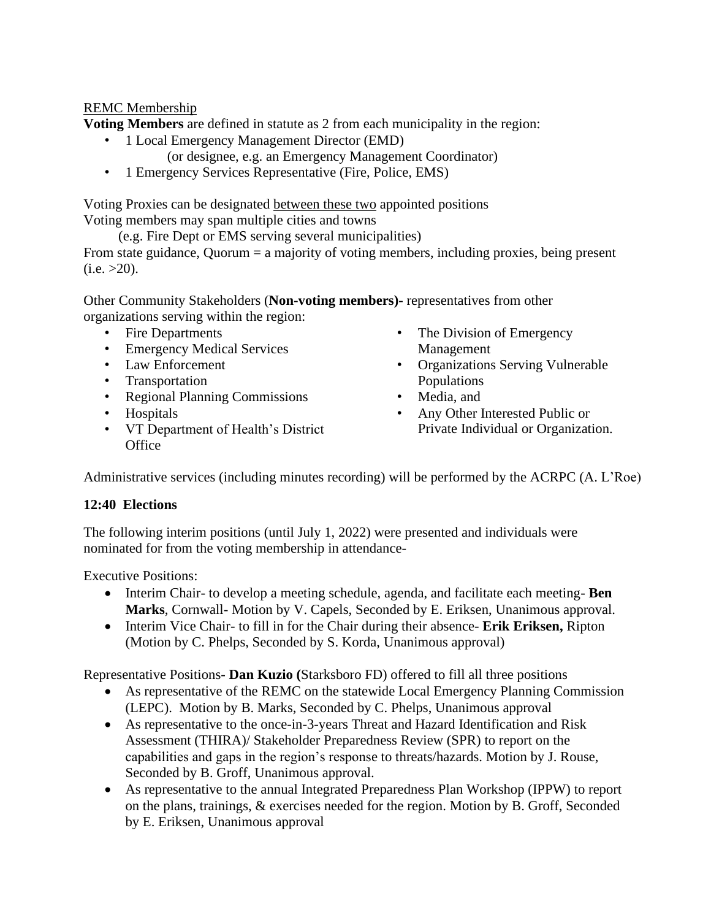## REMC Membership

**Voting Members** are defined in statute as 2 from each municipality in the region:

- 1 Local Emergency Management Director (EMD)
	- (or designee, e.g. an Emergency Management Coordinator)
- 1 Emergency Services Representative (Fire, Police, EMS)

Voting Proxies can be designated between these two appointed positions Voting members may span multiple cities and towns

(e.g. Fire Dept or EMS serving several municipalities)

From state guidance, Quorum = a majority of voting members, including proxies, being present  $(i.e. >20)$ .

Other Community Stakeholders (**Non-voting members)-** representatives from other organizations serving within the region:

- Fire Departments
- Emergency Medical Services
- Law Enforcement
- Transportation
- Regional Planning Commissions
- Hospitals
- VT Department of Health's District **Office**
- The Division of Emergency Management
- Organizations Serving Vulnerable Populations
- Media, and
- Any Other Interested Public or Private Individual or Organization.

Administrative services (including minutes recording) will be performed by the ACRPC (A. L'Roe)

## **12:40 Elections**

The following interim positions (until July 1, 2022) were presented and individuals were nominated for from the voting membership in attendance-

Executive Positions:

- Interim Chair- to develop a meeting schedule, agenda, and facilitate each meeting- **Ben Marks**, Cornwall- Motion by V. Capels, Seconded by E. Eriksen, Unanimous approval.
- Interim Vice Chair- to fill in for the Chair during their absence- **Erik Eriksen,** Ripton (Motion by C. Phelps, Seconded by S. Korda, Unanimous approval)

Representative Positions- **Dan Kuzio (**Starksboro FD) offered to fill all three positions

- As representative of the REMC on the statewide Local Emergency Planning Commission (LEPC). Motion by B. Marks, Seconded by C. Phelps, Unanimous approval
- As representative to the once-in-3-years Threat and Hazard Identification and Risk Assessment (THIRA)/ Stakeholder Preparedness Review (SPR) to report on the capabilities and gaps in the region's response to threats/hazards. Motion by J. Rouse, Seconded by B. Groff, Unanimous approval.
- As representative to the annual Integrated Preparedness Plan Workshop (IPPW) to report on the plans, trainings, & exercises needed for the region. Motion by B. Groff, Seconded by E. Eriksen, Unanimous approval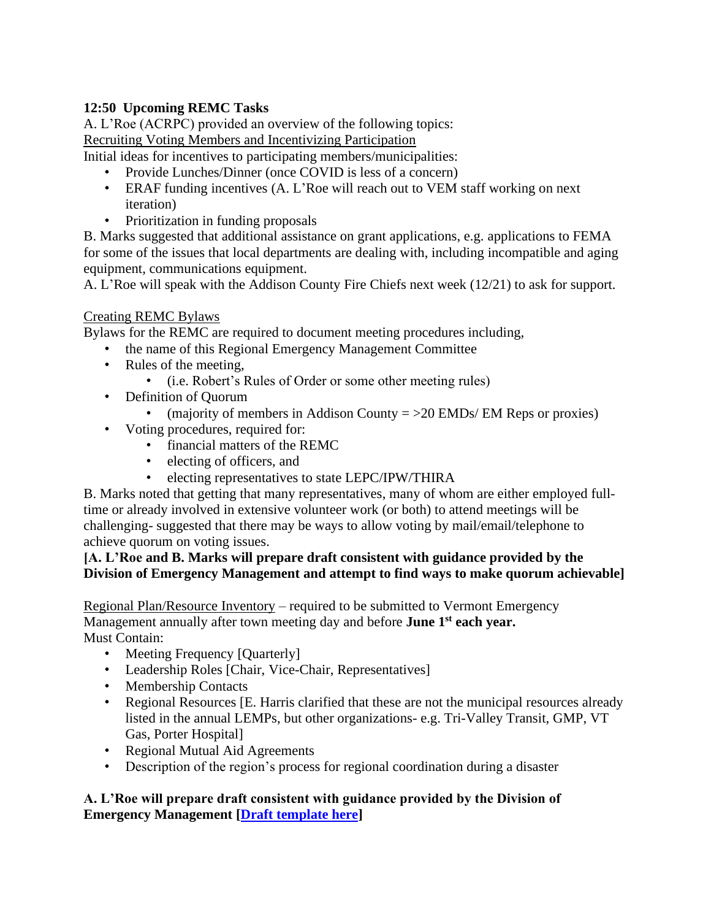# **12:50 Upcoming REMC Tasks**

A. L'Roe (ACRPC) provided an overview of the following topics: Recruiting Voting Members and Incentivizing Participation

Initial ideas for incentives to participating members/municipalities:

- Provide Lunches/Dinner (once COVID is less of a concern)
- ERAF funding incentives (A. L'Roe will reach out to VEM staff working on next iteration)
- Prioritization in funding proposals

B. Marks suggested that additional assistance on grant applications, e.g. applications to FEMA for some of the issues that local departments are dealing with, including incompatible and aging equipment, communications equipment.

A. L'Roe will speak with the Addison County Fire Chiefs next week (12/21) to ask for support.

# Creating REMC Bylaws

Bylaws for the REMC are required to document meeting procedures including,

- the name of this Regional Emergency Management Committee
- Rules of the meeting,
	- (i.e. Robert's Rules of Order or some other meeting rules)
- Definition of Quorum
	- (majority of members in Addison County  $=$  >20 EMDs/ EM Reps or proxies)
- Voting procedures, required for:
	- financial matters of the REMC
	- electing of officers, and
	- electing representatives to state LEPC/IPW/THIRA

B. Marks noted that getting that many representatives, many of whom are either employed fulltime or already involved in extensive volunteer work (or both) to attend meetings will be challenging- suggested that there may be ways to allow voting by mail/email/telephone to achieve quorum on voting issues.

## **[A. L'Roe and B. Marks will prepare draft consistent with guidance provided by the Division of Emergency Management and attempt to find ways to make quorum achievable]**

Regional Plan/Resource Inventory – required to be submitted to Vermont Emergency Management annually after town meeting day and before **June 1st each year.**  Must Contain:

- Meeting Frequency [Quarterly]
- Leadership Roles [Chair, Vice-Chair, Representatives]
- Membership Contacts
- Regional Resources [E. Harris clarified that these are not the municipal resources already listed in the annual LEMPs, but other organizations- e.g. Tri-Valley Transit, GMP, VT Gas, Porter Hospital]
- Regional Mutual Aid Agreements
- Description of the region's process for regional coordination during a disaster

# **A. L'Roe will prepare draft consistent with guidance provided by the Division of Emergency Management [\[Draft template here\]](http://vem.vermont.gov/sites/demhs/files/documents/REMC%20statewide%20guidance_appendix%20B.docx)**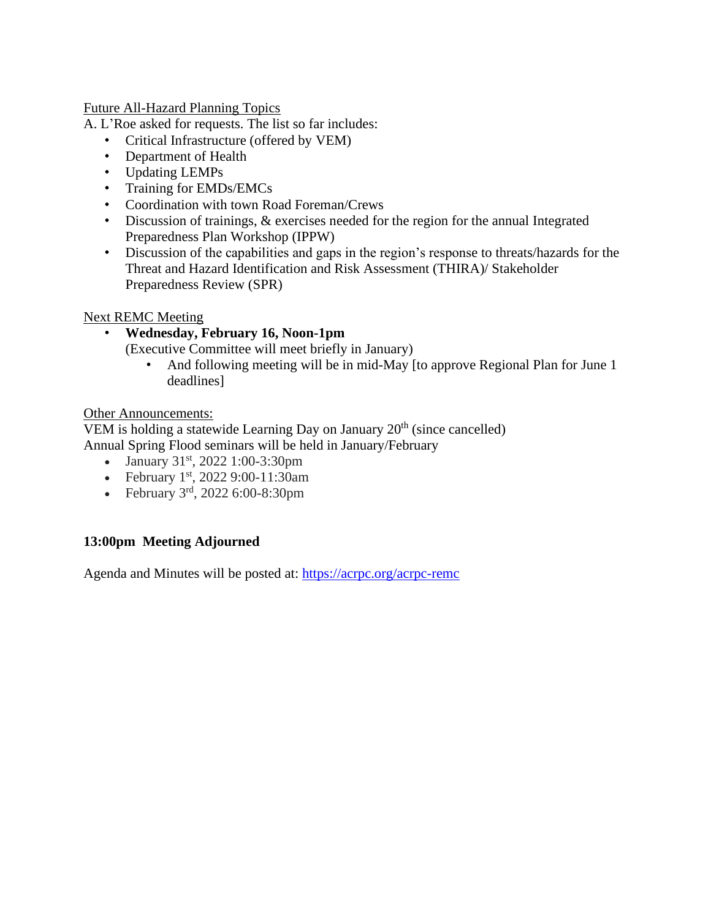Future All-Hazard Planning Topics

A. L'Roe asked for requests. The list so far includes:

- Critical Infrastructure (offered by VEM)
- Department of Health
- Updating LEMPs
- Training for EMDs/EMCs
- Coordination with town Road Foreman/Crews
- Discussion of trainings, & exercises needed for the region for the annual Integrated Preparedness Plan Workshop (IPPW)
- Discussion of the capabilities and gaps in the region's response to threats/hazards for the Threat and Hazard Identification and Risk Assessment (THIRA)/ Stakeholder Preparedness Review (SPR)

### Next REMC Meeting

• **Wednesday, February 16, Noon-1pm**

(Executive Committee will meet briefly in January)

• And following meeting will be in mid-May [to approve Regional Plan for June 1 deadlines]

### Other Announcements:

VEM is holding a statewide Learning Day on January  $20<sup>th</sup>$  (since cancelled) Annual Spring Flood seminars will be held in January/February

- January  $31<sup>st</sup>$ , 2022 1:00-3:30pm
- February  $1<sup>st</sup>$ , 2022 9:00-11:30am
- February  $3^{\text{rd}}$ , 2022 6:00-8:30pm

## **13:00pm Meeting Adjourned**

Agenda and Minutes will be posted at:<https://acrpc.org/acrpc-remc>